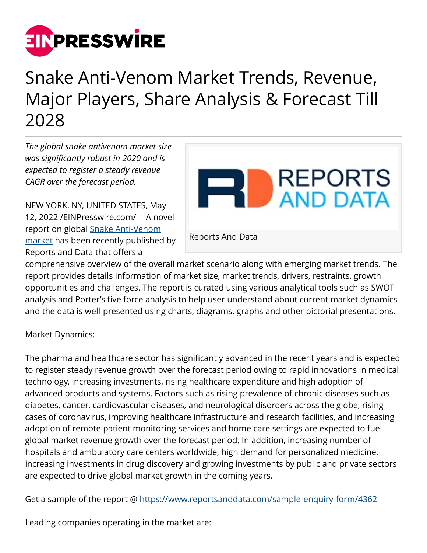

## Snake Anti-Venom Market Trends, Revenue, Major Players, Share Analysis & Forecast Till 2028

*The global snake antivenom market size was significantly robust in 2020 and is expected to register a steady revenue CAGR over the forecast period.*

NEW YORK, NY, UNITED STATES, May 12, 2022 /[EINPresswire.com/](http://www.einpresswire.com) -- A novel report on global [Snake Anti-Venom](https://www.reportsanddata.com/report-detail/snake-anti-venom-market) [market](https://www.reportsanddata.com/report-detail/snake-anti-venom-market) has been recently published by Reports and Data that offers a



comprehensive overview of the overall market scenario along with emerging market trends. The report provides details information of market size, market trends, drivers, restraints, growth opportunities and challenges. The report is curated using various analytical tools such as SWOT analysis and Porter's five force analysis to help user understand about current market dynamics and the data is well-presented using charts, diagrams, graphs and other pictorial presentations.

Market Dynamics:

The pharma and healthcare sector has significantly advanced in the recent years and is expected to register steady revenue growth over the forecast period owing to rapid innovations in medical technology, increasing investments, rising healthcare expenditure and high adoption of advanced products and systems. Factors such as rising prevalence of chronic diseases such as diabetes, cancer, cardiovascular diseases, and neurological disorders across the globe, rising cases of coronavirus, improving healthcare infrastructure and research facilities, and increasing adoption of remote patient monitoring services and home care settings are expected to fuel global market revenue growth over the forecast period. In addition, increasing number of hospitals and ambulatory care centers worldwide, high demand for personalized medicine, increasing investments in drug discovery and growing investments by public and private sectors are expected to drive global market growth in the coming years.

Get a sample of the report @<https://www.reportsanddata.com/sample-enquiry-form/4362>

Leading companies operating in the market are: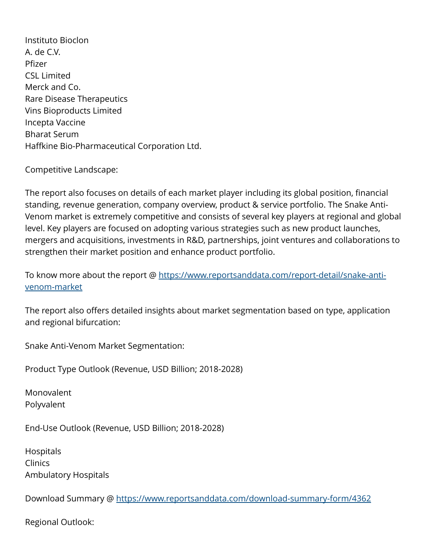Instituto Bioclon A. de C.V. Pfizer CSL Limited Merck and Co. Rare Disease Therapeutics Vins Bioproducts Limited Incepta Vaccine Bharat Serum Haffkine Bio-Pharmaceutical Corporation Ltd.

Competitive Landscape:

The report also focuses on details of each market player including its global position, financial standing, revenue generation, company overview, product & service portfolio. The Snake Anti-Venom market is extremely competitive and consists of several key players at regional and global level. Key players are focused on adopting various strategies such as new product launches, mergers and acquisitions, investments in R&D, partnerships, joint ventures and collaborations to strengthen their market position and enhance product portfolio.

To know more about the report @ [https://www.reportsanddata.com/report-detail/snake-anti](https://www.reportsanddata.com/report-detail/snake-anti-venom-market)[venom-market](https://www.reportsanddata.com/report-detail/snake-anti-venom-market)

The report also offers detailed insights about market segmentation based on type, application and regional bifurcation:

Snake Anti-Venom Market Segmentation:

Product Type Outlook (Revenue, USD Billion; 2018-2028)

Monovalent Polyvalent

End-Use Outlook (Revenue, USD Billion; 2018-2028)

Hospitals Clinics Ambulatory Hospitals

Download Summary @ <https://www.reportsanddata.com/download-summary-form/4362>

Regional Outlook: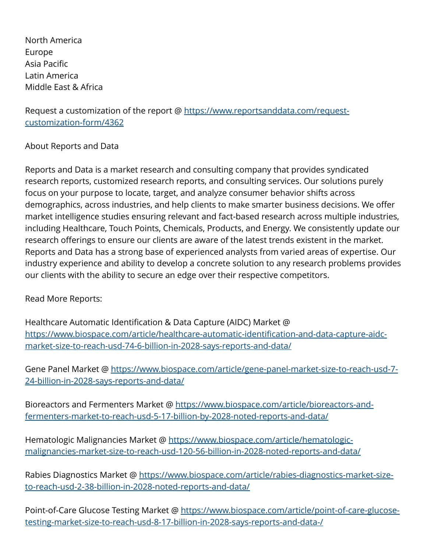North America Europe Asia Pacific Latin America Middle East & Africa

Request a customization of the report @ [https://www.reportsanddata.com/request](https://www.reportsanddata.com/request-customization-form/4362)[customization-form/4362](https://www.reportsanddata.com/request-customization-form/4362)

## About Reports and Data

Reports and Data is a market research and consulting company that provides syndicated research reports, customized research reports, and consulting services. Our solutions purely focus on your purpose to locate, target, and analyze consumer behavior shifts across demographics, across industries, and help clients to make smarter business decisions. We offer market intelligence studies ensuring relevant and fact-based research across multiple industries, including Healthcare, Touch Points, Chemicals, Products, and Energy. We consistently update our research offerings to ensure our clients are aware of the latest trends existent in the market. Reports and Data has a strong base of experienced analysts from varied areas of expertise. Our industry experience and ability to develop a concrete solution to any research problems provides our clients with the ability to secure an edge over their respective competitors.

Read More Reports:

Healthcare Automatic Identification & Data Capture (AIDC) Market @ [https://www.biospace.com/article/healthcare-automatic-identification-and-data-capture-aidc](https://www.biospace.com/article/healthcare-automatic-identification-and-data-capture-aidc-market-size-to-reach-usd-74-6-billion-in-2028-says-reports-and-data/)[market-size-to-reach-usd-74-6-billion-in-2028-says-reports-and-data/](https://www.biospace.com/article/healthcare-automatic-identification-and-data-capture-aidc-market-size-to-reach-usd-74-6-billion-in-2028-says-reports-and-data/)

Gene Panel Market @ [https://www.biospace.com/article/gene-panel-market-size-to-reach-usd-7-](https://www.biospace.com/article/gene-panel-market-size-to-reach-usd-7-24-billion-in-2028-says-reports-and-data/) [24-billion-in-2028-says-reports-and-data/](https://www.biospace.com/article/gene-panel-market-size-to-reach-usd-7-24-billion-in-2028-says-reports-and-data/)

Bioreactors and Fermenters Market @ [https://www.biospace.com/article/bioreactors-and](https://www.biospace.com/article/bioreactors-and-fermenters-market-to-reach-usd-5-17-billion-by-2028-noted-reports-and-data/)[fermenters-market-to-reach-usd-5-17-billion-by-2028-noted-reports-and-data/](https://www.biospace.com/article/bioreactors-and-fermenters-market-to-reach-usd-5-17-billion-by-2028-noted-reports-and-data/)

Hematologic Malignancies Market @ [https://www.biospace.com/article/hematologic](https://www.biospace.com/article/hematologic-malignancies-market-size-to-reach-usd-120-56-billion-in-2028-noted-reports-and-data/)[malignancies-market-size-to-reach-usd-120-56-billion-in-2028-noted-reports-and-data/](https://www.biospace.com/article/hematologic-malignancies-market-size-to-reach-usd-120-56-billion-in-2028-noted-reports-and-data/)

Rabies Diagnostics Market @ [https://www.biospace.com/article/rabies-diagnostics-market-size](https://www.biospace.com/article/rabies-diagnostics-market-size-to-reach-usd-2-38-billion-in-2028-noted-reports-and-data/)[to-reach-usd-2-38-billion-in-2028-noted-reports-and-data/](https://www.biospace.com/article/rabies-diagnostics-market-size-to-reach-usd-2-38-billion-in-2028-noted-reports-and-data/)

Point-of-Care Glucose Testing Market @ [https://www.biospace.com/article/point-of-care-glucose](https://www.biospace.com/article/point-of-care-glucose-testing-market-size-to-reach-usd-8-17-billion-in-2028-says-reports-and-data-/)[testing-market-size-to-reach-usd-8-17-billion-in-2028-says-reports-and-data-/](https://www.biospace.com/article/point-of-care-glucose-testing-market-size-to-reach-usd-8-17-billion-in-2028-says-reports-and-data-/)